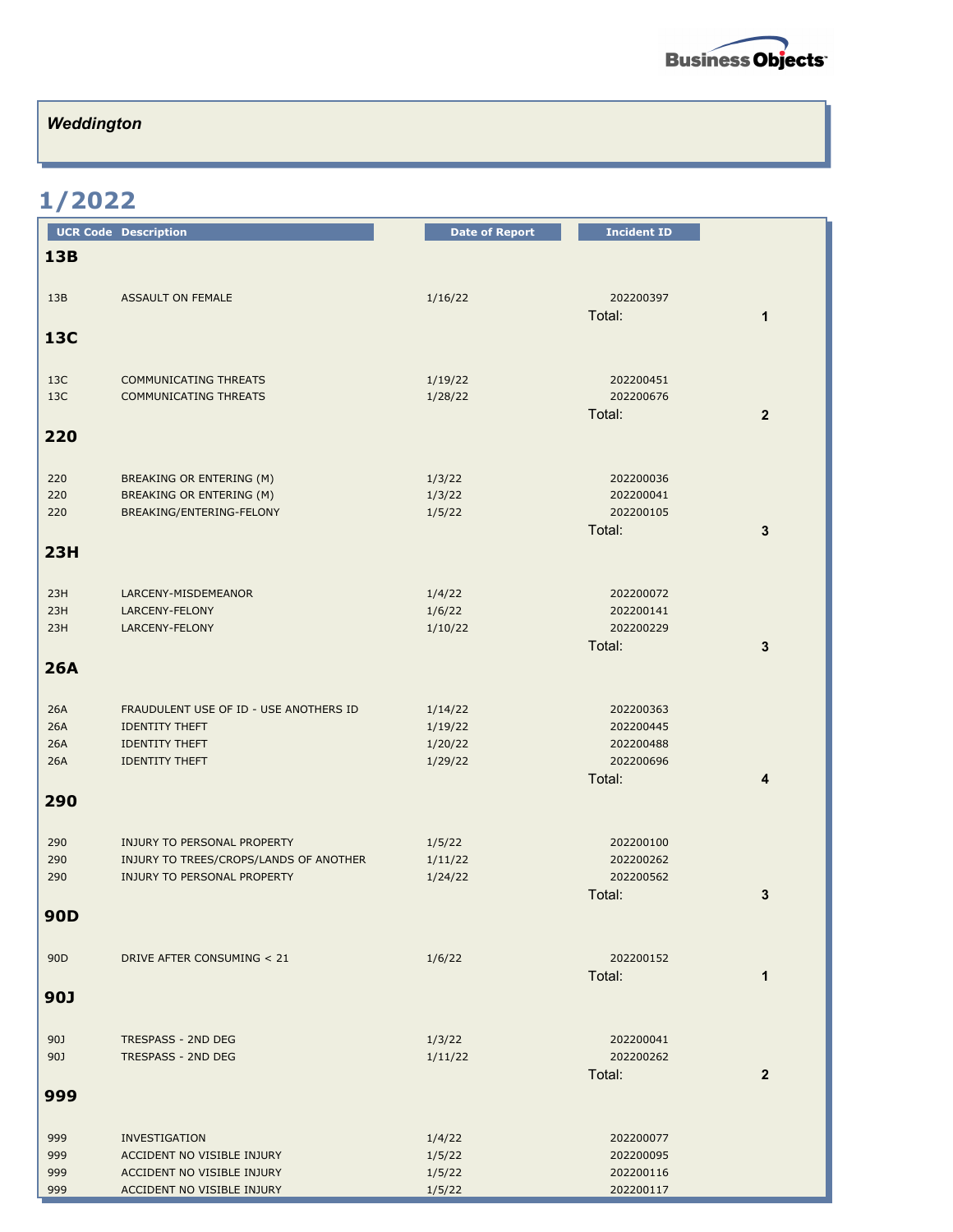

## *Weddington*

## **1/2022**

|                 | <b>UCR Code Description</b>                    | <b>Date of Report</b> | <b>Incident ID</b>     |              |
|-----------------|------------------------------------------------|-----------------------|------------------------|--------------|
| <b>13B</b>      |                                                |                       |                        |              |
|                 |                                                |                       |                        |              |
| 13B             | ASSAULT ON FEMALE                              | 1/16/22               | 202200397<br>Total:    | $\mathbf 1$  |
| <b>13C</b>      |                                                |                       |                        |              |
|                 |                                                |                       |                        |              |
| 13C             | <b>COMMUNICATING THREATS</b>                   | 1/19/22               | 202200451              |              |
| 13C             | <b>COMMUNICATING THREATS</b>                   | 1/28/22               | 202200676<br>Total:    | $\mathbf{2}$ |
| 220             |                                                |                       |                        |              |
|                 |                                                |                       |                        |              |
| 220             | BREAKING OR ENTERING (M)                       | 1/3/22                | 202200036              |              |
| 220             | BREAKING OR ENTERING (M)                       | 1/3/22                | 202200041              |              |
| 220             | BREAKING/ENTERING-FELONY                       | 1/5/22                | 202200105              |              |
|                 |                                                |                       | Total:                 | 3            |
| 23H             |                                                |                       |                        |              |
|                 |                                                |                       |                        |              |
| 23H<br>23H      | LARCENY-MISDEMEANOR<br>LARCENY-FELONY          | 1/4/22<br>1/6/22      | 202200072<br>202200141 |              |
| 23H             | LARCENY-FELONY                                 | 1/10/22               | 202200229              |              |
|                 |                                                |                       | Total:                 | 3            |
| <b>26A</b>      |                                                |                       |                        |              |
|                 |                                                |                       |                        |              |
| 26A             | FRAUDULENT USE OF ID - USE ANOTHERS ID         | 1/14/22               | 202200363              |              |
| 26A             | <b>IDENTITY THEFT</b>                          | 1/19/22               | 202200445              |              |
| 26A<br>26A      | <b>IDENTITY THEFT</b><br><b>IDENTITY THEFT</b> | 1/20/22<br>1/29/22    | 202200488<br>202200696 |              |
|                 |                                                |                       | Total:                 | 4            |
| 290             |                                                |                       |                        |              |
|                 |                                                |                       |                        |              |
| 290             | INJURY TO PERSONAL PROPERTY                    | 1/5/22                | 202200100              |              |
| 290             | INJURY TO TREES/CROPS/LANDS OF ANOTHER         | 1/11/22               | 202200262              |              |
| 290             | INJURY TO PERSONAL PROPERTY                    | 1/24/22               | 202200562              |              |
| 90D             |                                                |                       | Total:                 | 3            |
|                 |                                                |                       |                        |              |
| 90 <sub>D</sub> | DRIVE AFTER CONSUMING < 21                     | 1/6/22                | 202200152              |              |
|                 |                                                |                       | Total:                 | $\mathbf 1$  |
| <b>90J</b>      |                                                |                       |                        |              |
|                 |                                                |                       |                        |              |
| 90J             | TRESPASS - 2ND DEG                             | 1/3/22                | 202200041              |              |
| 90J             | TRESPASS - 2ND DEG                             | 1/11/22               | 202200262              |              |
|                 |                                                |                       | Total:                 | $\mathbf{2}$ |
| 999             |                                                |                       |                        |              |
| 999             | INVESTIGATION                                  | 1/4/22                | 202200077              |              |
| 999             | ACCIDENT NO VISIBLE INJURY                     | 1/5/22                | 202200095              |              |
| 999             | ACCIDENT NO VISIBLE INJURY                     | 1/5/22                | 202200116              |              |
| 999             | ACCIDENT NO VISIBLE INJURY                     | 1/5/22                | 202200117              |              |